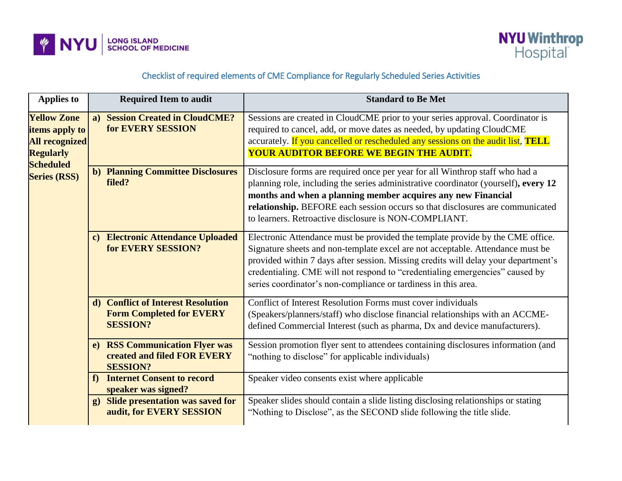



## Checklist of required elements of CME Compliance for Regularly Scheduled Series Activities

| <b>Applies to</b>                                                                                                            |                | <b>Required Item to audit</b>                                                            | <b>Standard to Be Met</b>                                                                                                                                                                                                                                                                                                                                                                                |
|------------------------------------------------------------------------------------------------------------------------------|----------------|------------------------------------------------------------------------------------------|----------------------------------------------------------------------------------------------------------------------------------------------------------------------------------------------------------------------------------------------------------------------------------------------------------------------------------------------------------------------------------------------------------|
| <b>Yellow Zone</b><br>items apply to<br><b>All recognized</b><br><b>Regularly</b><br><b>Scheduled</b><br><b>Series (RSS)</b> | a)             | <b>Session Created in CloudCME?</b><br>for EVERY SESSION                                 | Sessions are created in CloudCME prior to your series approval. Coordinator is<br>required to cancel, add, or move dates as needed, by updating CloudCME<br>accurately. If you cancelled or rescheduled any sessions on the audit list, TELL<br><b>YOUR AUDITOR BEFORE WE BEGIN THE AUDIT.</b>                                                                                                           |
|                                                                                                                              |                | <b>b) Planning Committee Disclosures</b><br>filed?                                       | Disclosure forms are required once per year for all Winthrop staff who had a<br>planning role, including the series administrative coordinator (yourself), every 12<br>months and when a planning member acquires any new Financial<br>relationship. BEFORE each session occurs so that disclosures are communicated<br>to learners. Retroactive disclosure is NON-COMPLIANT.                            |
|                                                                                                                              |                | c) Electronic Attendance Uploaded<br>for EVERY SESSION?                                  | Electronic Attendance must be provided the template provide by the CME office.<br>Signature sheets and non-template excel are not acceptable. Attendance must be<br>provided within 7 days after session. Missing credits will delay your department's<br>credentialing. CME will not respond to "credentialing emergencies" caused by<br>series coordinator's non-compliance or tardiness in this area. |
|                                                                                                                              |                | d) Conflict of Interest Resolution<br><b>Form Completed for EVERY</b><br><b>SESSION?</b> | Conflict of Interest Resolution Forms must cover individuals<br>(Speakers/planners/staff) who disclose financial relationships with an ACCME-<br>defined Commercial Interest (such as pharma, Dx and device manufacturers).                                                                                                                                                                              |
|                                                                                                                              | e)             | <b>RSS Communication Flyer was</b><br>created and filed FOR EVERY<br><b>SESSION?</b>     | Session promotion flyer sent to attendees containing disclosures information (and<br>"nothing to disclose" for applicable individuals)                                                                                                                                                                                                                                                                   |
|                                                                                                                              | f)             | <b>Internet Consent to record</b><br>speaker was signed?                                 | Speaker video consents exist where applicable                                                                                                                                                                                                                                                                                                                                                            |
|                                                                                                                              | $\mathbf{g}$ ) | <b>Slide presentation was saved for</b><br>audit, for EVERY SESSION                      | Speaker slides should contain a slide listing disclosing relationships or stating<br>"Nothing to Disclose", as the SECOND slide following the title slide.                                                                                                                                                                                                                                               |